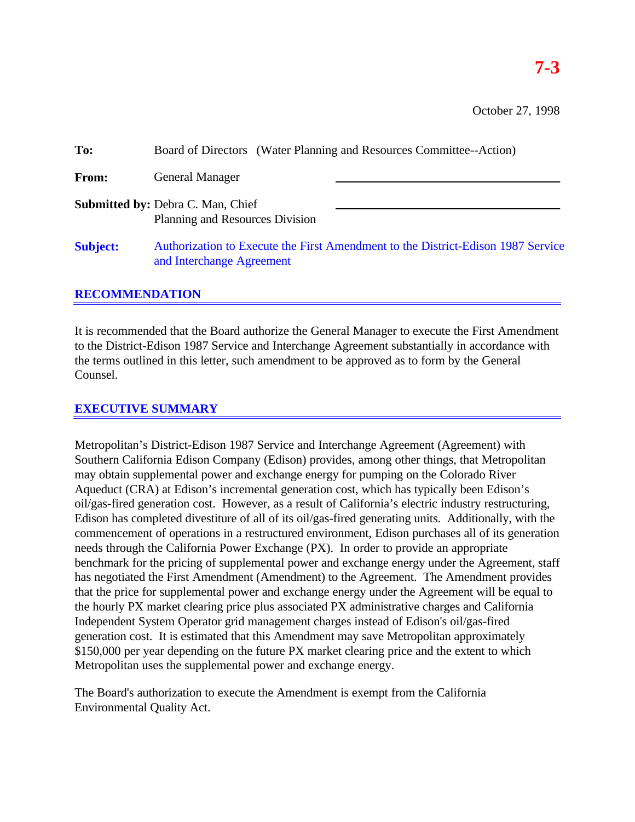October 27, 1998

| To:             | Board of Directors (Water Planning and Resources Committee--Action)                                           |  |
|-----------------|---------------------------------------------------------------------------------------------------------------|--|
| <b>From:</b>    | <b>General Manager</b>                                                                                        |  |
|                 | <b>Submitted by: Debra C. Man, Chief</b><br>Planning and Resources Division                                   |  |
| <b>Subject:</b> | Authorization to Execute the First Amendment to the District-Edison 1987 Service<br>and Interchange Agreement |  |

## **RECOMMENDATION**

It is recommended that the Board authorize the General Manager to execute the First Amendment to the District-Edison 1987 Service and Interchange Agreement substantially in accordance with the terms outlined in this letter, such amendment to be approved as to form by the General Counsel.

# **EXECUTIVE SUMMARY**

Metropolitan's District-Edison 1987 Service and Interchange Agreement (Agreement) with Southern California Edison Company (Edison) provides, among other things, that Metropolitan may obtain supplemental power and exchange energy for pumping on the Colorado River Aqueduct (CRA) at Edison's incremental generation cost, which has typically been Edison's oil/gas-fired generation cost. However, as a result of California's electric industry restructuring, Edison has completed divestiture of all of its oil/gas-fired generating units. Additionally, with the commencement of operations in a restructured environment, Edison purchases all of its generation needs through the California Power Exchange (PX). In order to provide an appropriate benchmark for the pricing of supplemental power and exchange energy under the Agreement, staff has negotiated the First Amendment (Amendment) to the Agreement. The Amendment provides that the price for supplemental power and exchange energy under the Agreement will be equal to the hourly PX market clearing price plus associated PX administrative charges and California Independent System Operator grid management charges instead of Edison's oil/gas-fired generation cost. It is estimated that this Amendment may save Metropolitan approximately \$150,000 per year depending on the future PX market clearing price and the extent to which Metropolitan uses the supplemental power and exchange energy.

The Board's authorization to execute the Amendment is exempt from the California Environmental Quality Act.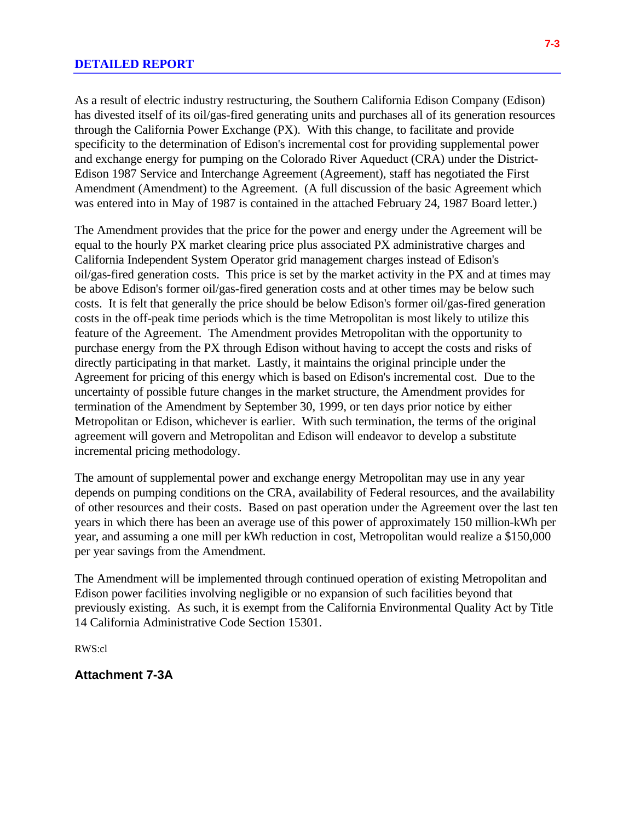As a result of electric industry restructuring, the Southern California Edison Company (Edison) has divested itself of its oil/gas-fired generating units and purchases all of its generation resources through the California Power Exchange (PX). With this change, to facilitate and provide specificity to the determination of Edison's incremental cost for providing supplemental power and exchange energy for pumping on the Colorado River Aqueduct (CRA) under the District-Edison 1987 Service and Interchange Agreement (Agreement), staff has negotiated the First Amendment (Amendment) to the Agreement. (A full discussion of the basic Agreement which was entered into in May of 1987 is contained in the attached February 24, 1987 Board letter.)

The Amendment provides that the price for the power and energy under the Agreement will be equal to the hourly PX market clearing price plus associated PX administrative charges and California Independent System Operator grid management charges instead of Edison's oil/gas-fired generation costs. This price is set by the market activity in the PX and at times may be above Edison's former oil/gas-fired generation costs and at other times may be below such costs. It is felt that generally the price should be below Edison's former oil/gas-fired generation costs in the off-peak time periods which is the time Metropolitan is most likely to utilize this feature of the Agreement. The Amendment provides Metropolitan with the opportunity to purchase energy from the PX through Edison without having to accept the costs and risks of directly participating in that market. Lastly, it maintains the original principle under the Agreement for pricing of this energy which is based on Edison's incremental cost. Due to the uncertainty of possible future changes in the market structure, the Amendment provides for termination of the Amendment by September 30, 1999, or ten days prior notice by either Metropolitan or Edison, whichever is earlier. With such termination, the terms of the original agreement will govern and Metropolitan and Edison will endeavor to develop a substitute incremental pricing methodology.

The amount of supplemental power and exchange energy Metropolitan may use in any year depends on pumping conditions on the CRA, availability of Federal resources, and the availability of other resources and their costs. Based on past operation under the Agreement over the last ten years in which there has been an average use of this power of approximately 150 million-kWh per year, and assuming a one mill per kWh reduction in cost, Metropolitan would realize a \$150,000 per year savings from the Amendment.

The Amendment will be implemented through continued operation of existing Metropolitan and Edison power facilities involving negligible or no expansion of such facilities beyond that previously existing. As such, it is exempt from the California Environmental Quality Act by Title 14 California Administrative Code Section 15301.

RWS:cl

**Attachment 7-3A**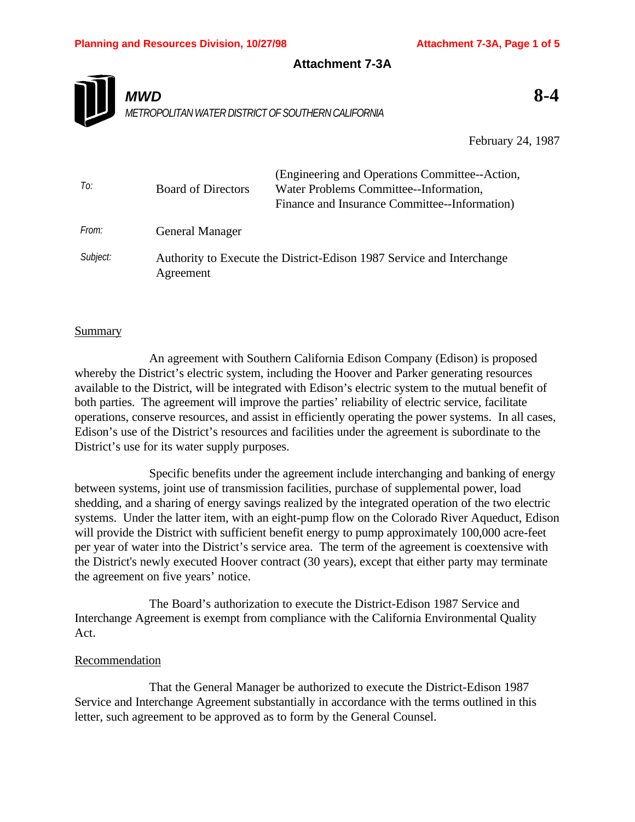### **Attachment 7-3A**



February 24, 1987

| To:      | <b>Board of Directors</b> | (Engineering and Operations Committee--Action,<br>Water Problems Committee--Information,<br>Finance and Insurance Committee--Information) |
|----------|---------------------------|-------------------------------------------------------------------------------------------------------------------------------------------|
| From:    | <b>General Manager</b>    |                                                                                                                                           |
| Subject: | Agreement                 | Authority to Execute the District-Edison 1987 Service and Interchange                                                                     |

### Summary

An agreement with Southern California Edison Company (Edison) is proposed whereby the District's electric system, including the Hoover and Parker generating resources available to the District, will be integrated with Edison's electric system to the mutual benefit of both parties. The agreement will improve the parties' reliability of electric service, facilitate operations, conserve resources, and assist in efficiently operating the power systems. In all cases, Edison's use of the District's resources and facilities under the agreement is subordinate to the District's use for its water supply purposes.

Specific benefits under the agreement include interchanging and banking of energy between systems, joint use of transmission facilities, purchase of supplemental power, load shedding, and a sharing of energy savings realized by the integrated operation of the two electric systems. Under the latter item, with an eight-pump flow on the Colorado River Aqueduct, Edison will provide the District with sufficient benefit energy to pump approximately 100,000 acre-feet per year of water into the District's service area. The term of the agreement is coextensive with the District's newly executed Hoover contract (30 years), except that either party may terminate the agreement on five years' notice.

The Board's authorization to execute the District-Edison 1987 Service and Interchange Agreement is exempt from compliance with the California Environmental Quality Act.

### Recommendation

That the General Manager be authorized to execute the District-Edison 1987 Service and Interchange Agreement substantially in accordance with the terms outlined in this letter, such agreement to be approved as to form by the General Counsel.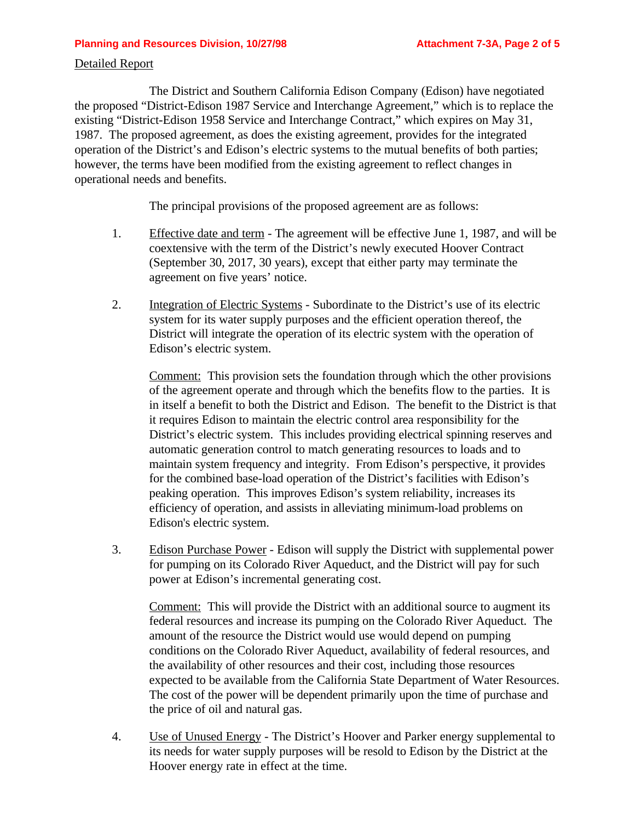#### **Planning and Resources Division, 10/27/98 <b>Attachment 7-3A, Page 2 of 5**

#### Detailed Report

The District and Southern California Edison Company (Edison) have negotiated the proposed "District-Edison 1987 Service and Interchange Agreement," which is to replace the existing "District-Edison 1958 Service and Interchange Contract," which expires on May 31, 1987. The proposed agreement, as does the existing agreement, provides for the integrated operation of the District's and Edison's electric systems to the mutual benefits of both parties; however, the terms have been modified from the existing agreement to reflect changes in operational needs and benefits.

The principal provisions of the proposed agreement are as follows:

- 1. Effective date and term The agreement will be effective June 1, 1987, and will be coextensive with the term of the District's newly executed Hoover Contract (September 30, 2017, 30 years), except that either party may terminate the agreement on five years' notice.
- 2. Integration of Electric Systems Subordinate to the District's use of its electric system for its water supply purposes and the efficient operation thereof, the District will integrate the operation of its electric system with the operation of Edison's electric system.

Comment: This provision sets the foundation through which the other provisions of the agreement operate and through which the benefits flow to the parties. It is in itself a benefit to both the District and Edison. The benefit to the District is that it requires Edison to maintain the electric control area responsibility for the District's electric system. This includes providing electrical spinning reserves and automatic generation control to match generating resources to loads and to maintain system frequency and integrity. From Edison's perspective, it provides for the combined base-load operation of the District's facilities with Edison's peaking operation. This improves Edison's system reliability, increases its efficiency of operation, and assists in alleviating minimum-load problems on Edison's electric system.

3. Edison Purchase Power - Edison will supply the District with supplemental power for pumping on its Colorado River Aqueduct, and the District will pay for such power at Edison's incremental generating cost.

Comment: This will provide the District with an additional source to augment its federal resources and increase its pumping on the Colorado River Aqueduct. The amount of the resource the District would use would depend on pumping conditions on the Colorado River Aqueduct, availability of federal resources, and the availability of other resources and their cost, including those resources expected to be available from the California State Department of Water Resources. The cost of the power will be dependent primarily upon the time of purchase and the price of oil and natural gas.

4. Use of Unused Energy - The District's Hoover and Parker energy supplemental to its needs for water supply purposes will be resold to Edison by the District at the Hoover energy rate in effect at the time.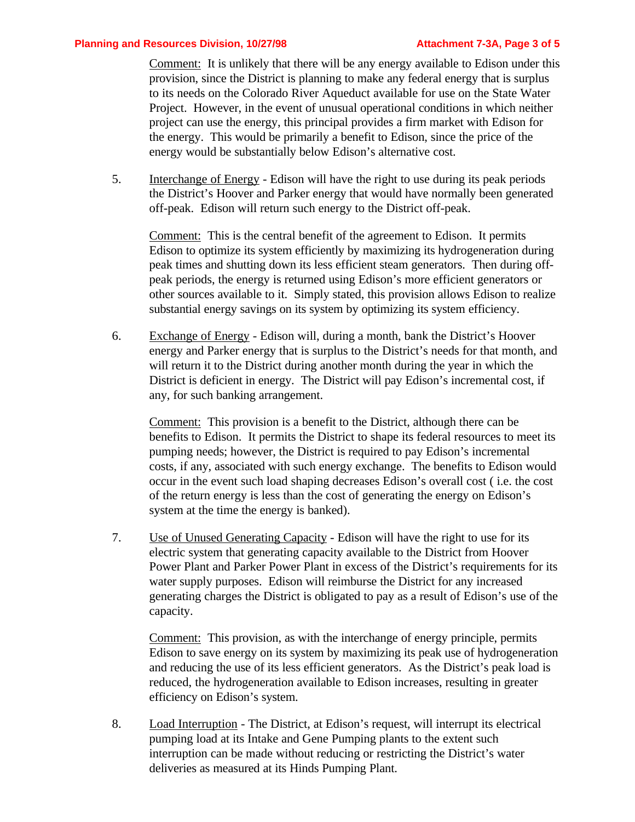Comment: It is unlikely that there will be any energy available to Edison under this provision, since the District is planning to make any federal energy that is surplus to its needs on the Colorado River Aqueduct available for use on the State Water Project. However, in the event of unusual operational conditions in which neither project can use the energy, this principal provides a firm market with Edison for the energy. This would be primarily a benefit to Edison, since the price of the energy would be substantially below Edison's alternative cost.

5. Interchange of Energy - Edison will have the right to use during its peak periods the District's Hoover and Parker energy that would have normally been generated off-peak. Edison will return such energy to the District off-peak.

Comment: This is the central benefit of the agreement to Edison. It permits Edison to optimize its system efficiently by maximizing its hydrogeneration during peak times and shutting down its less efficient steam generators. Then during offpeak periods, the energy is returned using Edison's more efficient generators or other sources available to it. Simply stated, this provision allows Edison to realize substantial energy savings on its system by optimizing its system efficiency.

6. Exchange of Energy - Edison will, during a month, bank the District's Hoover energy and Parker energy that is surplus to the District's needs for that month, and will return it to the District during another month during the year in which the District is deficient in energy. The District will pay Edison's incremental cost, if any, for such banking arrangement.

Comment: This provision is a benefit to the District, although there can be benefits to Edison. It permits the District to shape its federal resources to meet its pumping needs; however, the District is required to pay Edison's incremental costs, if any, associated with such energy exchange. The benefits to Edison would occur in the event such load shaping decreases Edison's overall cost ( i.e. the cost of the return energy is less than the cost of generating the energy on Edison's system at the time the energy is banked).

7. Use of Unused Generating Capacity - Edison will have the right to use for its electric system that generating capacity available to the District from Hoover Power Plant and Parker Power Plant in excess of the District's requirements for its water supply purposes. Edison will reimburse the District for any increased generating charges the District is obligated to pay as a result of Edison's use of the capacity.

Comment: This provision, as with the interchange of energy principle, permits Edison to save energy on its system by maximizing its peak use of hydrogeneration and reducing the use of its less efficient generators. As the District's peak load is reduced, the hydrogeneration available to Edison increases, resulting in greater efficiency on Edison's system.

8. Load Interruption - The District, at Edison's request, will interrupt its electrical pumping load at its Intake and Gene Pumping plants to the extent such interruption can be made without reducing or restricting the District's water deliveries as measured at its Hinds Pumping Plant.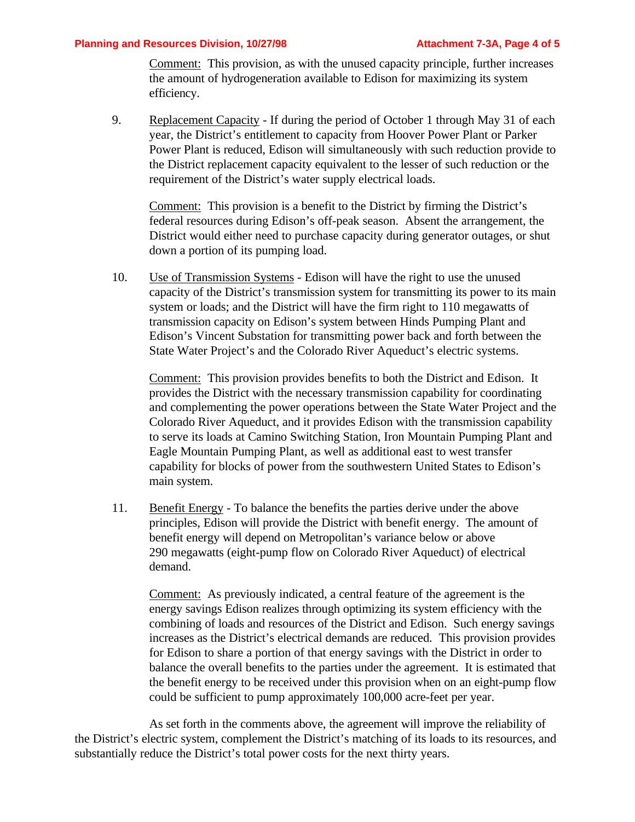#### **Planning and Resources Division, 10/27/98 Attachment 7-3A, Page 4 of 5**

Comment: This provision, as with the unused capacity principle, further increases the amount of hydrogeneration available to Edison for maximizing its system efficiency.

9. Replacement Capacity - If during the period of October 1 through May 31 of each year, the District's entitlement to capacity from Hoover Power Plant or Parker Power Plant is reduced, Edison will simultaneously with such reduction provide to the District replacement capacity equivalent to the lesser of such reduction or the requirement of the District's water supply electrical loads.

Comment: This provision is a benefit to the District by firming the District's federal resources during Edison's off-peak season. Absent the arrangement, the District would either need to purchase capacity during generator outages, or shut down a portion of its pumping load.

10. Use of Transmission Systems - Edison will have the right to use the unused capacity of the District's transmission system for transmitting its power to its main system or loads; and the District will have the firm right to 110 megawatts of transmission capacity on Edison's system between Hinds Pumping Plant and Edison's Vincent Substation for transmitting power back and forth between the State Water Project's and the Colorado River Aqueduct's electric systems.

Comment: This provision provides benefits to both the District and Edison. It provides the District with the necessary transmission capability for coordinating and complementing the power operations between the State Water Project and the Colorado River Aqueduct, and it provides Edison with the transmission capability to serve its loads at Camino Switching Station, Iron Mountain Pumping Plant and Eagle Mountain Pumping Plant, as well as additional east to west transfer capability for blocks of power from the southwestern United States to Edison's main system.

11. Benefit Energy - To balance the benefits the parties derive under the above principles, Edison will provide the District with benefit energy. The amount of benefit energy will depend on Metropolitan's variance below or above 290 megawatts (eight-pump flow on Colorado River Aqueduct) of electrical demand.

Comment: As previously indicated, a central feature of the agreement is the energy savings Edison realizes through optimizing its system efficiency with the combining of loads and resources of the District and Edison. Such energy savings increases as the District's electrical demands are reduced. This provision provides for Edison to share a portion of that energy savings with the District in order to balance the overall benefits to the parties under the agreement. It is estimated that the benefit energy to be received under this provision when on an eight-pump flow could be sufficient to pump approximately 100,000 acre-feet per year.

As set forth in the comments above, the agreement will improve the reliability of the District's electric system, complement the District's matching of its loads to its resources, and substantially reduce the District's total power costs for the next thirty years.